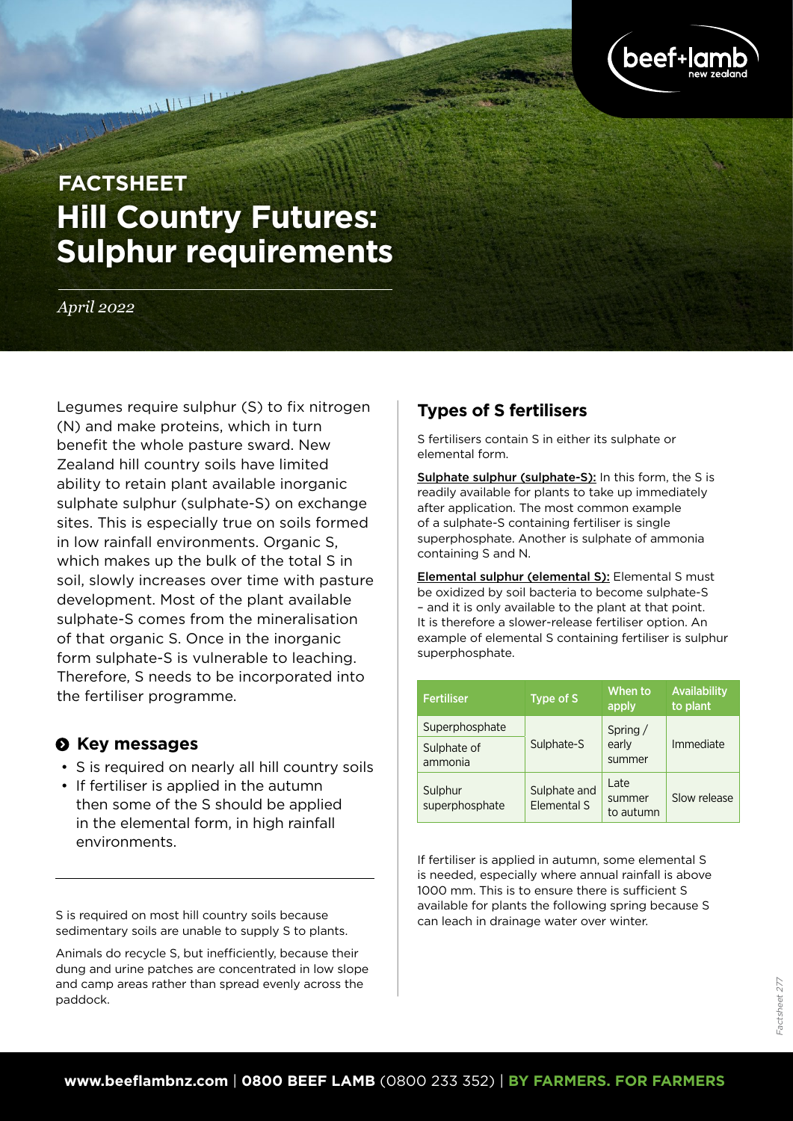

# **Hill Country Futures: Sulphur requirements FACTSHEET**

*April 2022*

Legumes require sulphur (S) to fix nitrogen (N) and make proteins, which in turn benefit the whole pasture sward. New Zealand hill country soils have limited ability to retain plant available inorganic sulphate sulphur (sulphate-S) on exchange sites. This is especially true on soils formed in low rainfall environments. Organic S, which makes up the bulk of the total S in soil, slowly increases over time with pasture development. Most of the plant available sulphate-S comes from the mineralisation of that organic S. Once in the inorganic form sulphate-S is vulnerable to leaching. Therefore, S needs to be incorporated into the fertiliser programme.

#### $\Theta$  Key messages

- S is required on nearly all hill country soils
- If fertiliser is applied in the autumn then some of the S should be applied in the elemental form, in high rainfall environments.

S is required on most hill country soils because sedimentary soils are unable to supply S to plants.

Animals do recycle S, but inefficiently, because their dung and urine patches are concentrated in low slope and camp areas rather than spread evenly across the paddock.

# **Types of S fertilisers**

S fertilisers contain S in either its sulphate or elemental form.

Sulphate sulphur (sulphate-S): In this form, the S is readily available for plants to take up immediately after application. The most common example of a sulphate-S containing fertiliser is single superphosphate. Another is sulphate of ammonia containing S and N.

Elemental sulphur (elemental S): Elemental S must be oxidized by soil bacteria to become sulphate-S – and it is only available to the plant at that point. It is therefore a slower-release fertiliser option. An example of elemental S containing fertiliser is sulphur superphosphate.

| <b>Fertiliser</b>                        | Type of S                          | When to<br>apply            | Availability<br>to plant |
|------------------------------------------|------------------------------------|-----------------------------|--------------------------|
| Superphosphate<br>Sulphate of<br>ammonia | Sulphate-S                         | Spring /<br>early<br>summer | Immediate                |
| Sulphur<br>superphosphate                | Sulphate and<br><b>Elemental S</b> | Late<br>summer<br>to autumn | Slow release             |

If fertiliser is applied in autumn, some elemental S is needed, especially where annual rainfall is above 1000 mm. This is to ensure there is sufficient S available for plants the following spring because S can leach in drainage water over winter.